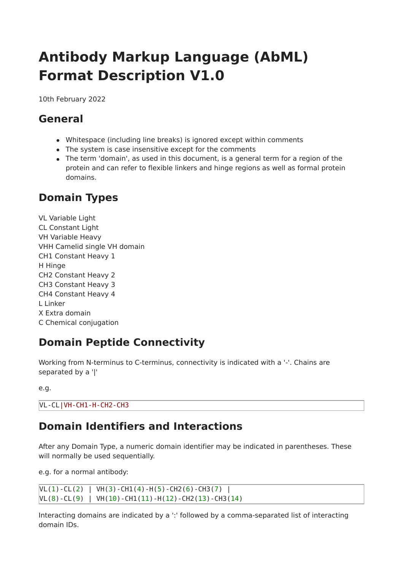# **Antibody Markup Language (AbML) Format Description V1.0**

10th February 2022

## **General**

- Whitespace (including line breaks) is ignored except within comments
- The system is case insensitive except for the comments
- The term 'domain', as used in this document, is a general term for a region of the protein and can refer to flexible linkers and hinge regions as well as formal protein domains.

## **Domain Types**

VL Variable Light CL Constant Light VH Variable Heavy VHH Camelid single VH domain CH1 Constant Heavy 1 H Hinge CH2 Constant Heavy 2 CH3 Constant Heavy 3 CH4 Constant Heavy 4 L Linker X Extra domain C Chemical conjugation

## **Domain Peptide Connectivity**

Working from N-terminus to C-terminus, connectivity is indicated with a '-'. Chains are separated by a '|'

```
e.g.
```
VL-CL|VH-CH1-H-CH2-CH3

### **Domain Identifiers and Interactions**

After any Domain Type, a numeric domain identifier may be indicated in parentheses. These will normally be used sequentially.

e.g. for a normal antibody:

 $VL(1)-CL(2)$  |  $VH(3)-CH1(4)-H(5)-CH2(6)-CH3(7)$  |  $VL(8)$ -CL(9) | VH(10)-CH1(11)-H(12)-CH2(13)-CH3(14)

Interacting domains are indicated by a ':' followed by a comma-separated list of interacting domain IDs.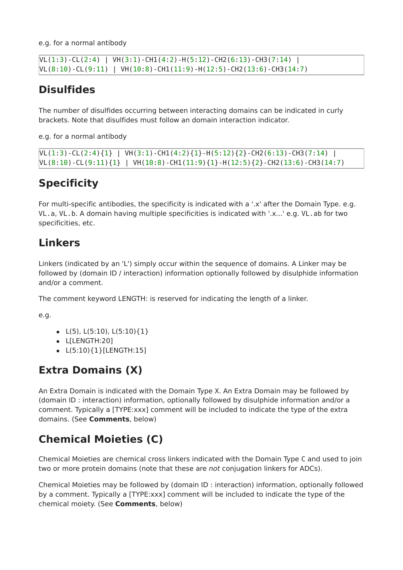e.g. for a normal antibody

```
|VL(1:3) - CL(2:4) | VH(3:1) - CH1(4:2) - H(5:12) - CH2(6:13) - CH3(7:14) |VL(8:10) - CL(9:11) | VH(10:8) - CH1(11:9) - H(12:5) - CH2(13:6) - CH3(14:7)
```
# **Disulfides**

The number of disulfides occurring between interacting domains can be indicated in curly brackets. Note that disulfides must follow an domain interaction indicator.

e.g. for a normal antibody

```
VL(1:3)-CL(2:4){1} | VH(3:1)-CH1(4:2){1}-H(5:12){2}-CH2(6:13)-CH3(7:14) |
VL(8:10) - CL(9:11){1} | VH(10:8) - CH1(11:9){1}-H(12:5){2}-CH2(13:6)-CH3(14:7)
```
# **Specificity**

For multi-specific antibodies, the specificity is indicated with a '.x' after the Domain Type. e.g. VL.a, VL.b. A domain having multiple specificities is indicated with '.x...' e.g. VL.ab for two specificities, etc.

### **Linkers**

Linkers (indicated by an 'L') simply occur within the sequence of domains. A Linker may be followed by (domain ID / interaction) information optionally followed by disulphide information and/or a comment.

The comment keyword LENGTH: is reserved for indicating the length of a linker.

e.g.

- $\bullet$  L(5), L(5:10), L(5:10){1}
- L[LENGTH:20]
- $\bullet$  L(5:10){1}[LENGTH:15]

### **Extra Domains (X)**

An Extra Domain is indicated with the Domain Type X. An Extra Domain may be followed by (domain ID : interaction) information, optionally followed by disulphide information and/or a comment. Typically a [TYPE:xxx] comment will be included to indicate the type of the extra domains. (See **Comments**, below)

# **Chemical Moieties (C)**

Chemical Moieties are chemical cross linkers indicated with the Domain Type C and used to join two or more protein domains (note that these are not conjugation linkers for ADCs).

Chemical Moieties may be followed by (domain ID : interaction) information, optionally followed by a comment. Typically a [TYPE:xxx] comment will be included to indicate the type of the chemical moiety. (See **Comments**, below)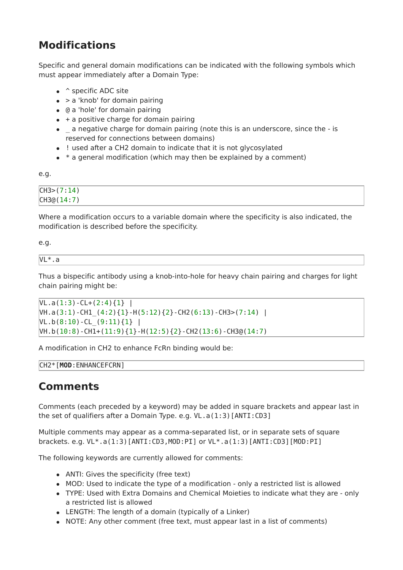# **Modifications**

Specific and general domain modifications can be indicated with the following symbols which must appear immediately after a Domain Type:

- ^ specific ADC site
- $\bullet$  > a 'knob' for domain pairing
- @ a 'hole' for domain pairing
- $\bullet$  + a positive charge for domain pairing
- \_ a negative charge for domain pairing (note this is an underscore, since the is reserved for connections between domains)
- ! used after a CH2 domain to indicate that it is not glycosylated
- $*$  a general modification (which may then be explained by a comment)

e.g.

| $\cdot$ 14)<br>CH3( |  |  |
|---------------------|--|--|
| CH3@(14:7)          |  |  |

Where a modification occurs to a variable domain where the specificity is also indicated, the modification is described before the specificity.

e.g.

| VL*<br>$\sim$<br>$\overline{\phantom{a}}$<br>ึ<br>-- -- |  |  |
|---------------------------------------------------------|--|--|

Thus a bispecific antibody using a knob-into-hole for heavy chain pairing and charges for light chain pairing might be:

```
VL.a(1:3)-CL+(2:4){1}\text{VH.a}(3:1) - CH1 (4:2)\{1\} - H(5:12) \{2\} - CH2(6:13) - CH3>(7:14) |
VL.b(8:10)-CL(9:11){1}]
VH.b(10:8)-CH1+(11:9){1}-H(12:5){2}-CH2(13:6)-CH3@(14:7)
```
A modification in CH2 to enhance FcRn binding would be:

```
CH2*[MOD:ENHANCEFCRN]
```
#### **Comments**

Comments (each preceded by a keyword) may be added in square brackets and appear last in the set of qualifiers after a Domain Type. e.g. VL.a(1:3)[ANTI:CD3]

Multiple comments may appear as a comma-separated list, or in separate sets of square brackets. e.g. VL\*.a(1:3)[ANTI:CD3,MOD:PI] or VL\*.a(1:3)[ANTI:CD3][MOD:PI]

The following keywords are currently allowed for comments:

- ANTI: Gives the specificity (free text)
- MOD: Used to indicate the type of a modification only a restricted list is allowed
- TYPE: Used with Extra Domains and Chemical Moieties to indicate what they are only a restricted list is allowed
- LENGTH: The length of a domain (typically of a Linker)
- NOTE: Any other comment (free text, must appear last in a list of comments)